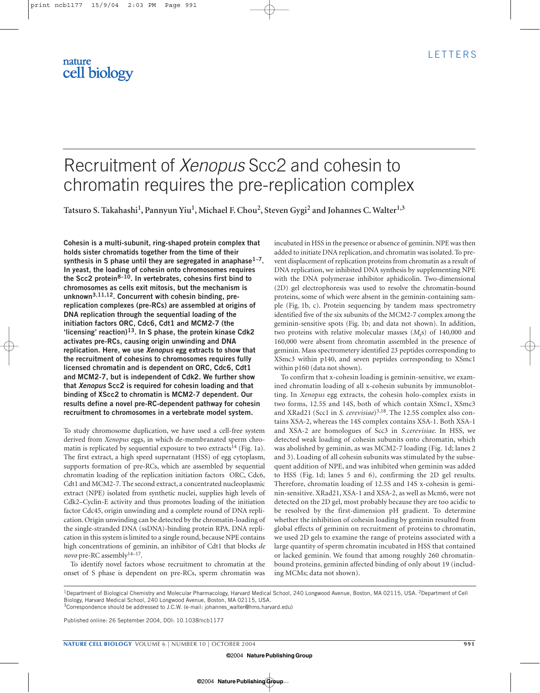# Recruitment of *Xenopus* Scc2 and cohesin to chromatin requires the pre-replication complex

**Tatsuro S. Takahashi1, Pannyun Yiu1, Michael F. Chou2, Steven Gygi2 and Johannes C. Walter1,3**

**Cohesin is a multi-subunit, ring-shaped protein complex that holds sister chromatids together from the time of their synthesis in S phase until they are segregated in anaphase1–7. In yeast, the loading of cohesin onto chromosomes requires the Scc2 protein8–10. In vertebrates, cohesins first bind to chromosomes as cells exit mitosis, but the mechanism is unknown3,11,12. Concurrent with cohesin binding, prereplication complexes (pre-RCs) are assembled at origins of DNA replication through the sequential loading of the initiation factors ORC, Cdc6, Cdt1 and MCM2-7 (the 'licensing' reaction)13. In S phase, the protein kinase Cdk2 activates pre-RCs, causing origin unwinding and DNA replication. Here, we use** *Xenopus* **egg extracts to show that the recruitment of cohesins to chromosomes requires fully licensed chromatin and is dependent on ORC, Cdc6, Cdt1 and MCM2-7, but is independent of Cdk2. We further show that** *Xenopus* **Scc2 is required for cohesin loading and that binding of XScc2 to chromatin is MCM2-7 dependent. Our results define a novel pre-RC-dependent pathway for cohesin recruitment to chromosomes in a vertebrate model system.**

To study chromosome duplication, we have used a cell-free system derived from *Xenopus* eggs, in which de-membranated sperm chromatin is replicated by sequential exposure to two extracts<sup>14</sup> (Fig. 1a). The first extract, a high speed supernatant (HSS) of egg cytoplasm, supports formation of pre-RCs, which are assembled by sequential chromatin loading of the replication initiation factors ORC, Cdc6, Cdt1 and MCM2-7. The second extract, a concentrated nucleoplasmic extract (NPE) isolated from synthetic nuclei, supplies high levels of Cdk2–Cyclin-E activity and thus promotes loading of the initiation factor Cdc45, origin unwinding and a complete round of DNA replication. Origin unwinding can be detected by the chromatin-loading of the single-stranded DNA (ssDNA)-binding protein RPA. DNA replication in this system is limited to a single round, because NPE contains high concentrations of geminin, an inhibitor of Cdt1 that blocks *de novo* pre-RC assembly14–17.

To identify novel factors whose recruitment to chromatin at the onset of S phase is dependent on pre-RCs, sperm chromatin was

incubated in HSS in the presence or absence of geminin. NPE was then added to initiate DNA replication, and chromatin was isolated. To prevent displacement of replication proteins from chromatin as a result of DNA replication, we inhibited DNA synthesis by supplementing NPE with the DNA polymerase inhibitor aphidicolin. Two-dimensional (2D) gel electrophoresis was used to resolve the chromatin-bound proteins, some of which were absent in the geminin-containing sample (Fig. 1b, c). Protein sequencing by tandem mass spectrometry identified five of the six subunits of the MCM2-7 complex among the geminin-sensitive spots (Fig. 1b; and data not shown). In addition, two proteins with relative molecular masses (*M<sub>rs</sub>*) of 140,000 and 160,000 were absent from chromatin assembled in the presence of geminin. Mass spectrometery identified 23 peptides corresponding to XSmc3 within p140, and seven peptides corresponding to XSmc1 within p160 (data not shown).

To confirm that x-cohesin loading is geminin-sensitive, we examined chromatin loading of all x-cohesin subunits by immunoblotting. In *Xenopus* egg extracts, the cohesin holo-complex exists in two forms, 12.5S and 14S, both of which contain XSmc1, XSmc3 and XRad21 (Scc1 in *S. cerevisiae*)<sup>3,18</sup>. The 12.5S complex also contains XSA-2, whereas the 14S complex contains XSA-1. Both XSA-1 and XSA-2 are homologues of Scc3 in *S.cerevisiae*. In HSS, we detected weak loading of cohesin subunits onto chromatin, which was abolished by geminin, as was MCM2-7 loading (Fig. 1d; lanes 2 and 3). Loading of all cohesin subunits was stimulated by the subsequent addition of NPE, and was inhibited when geminin was added to HSS (Fig. 1d; lanes 5 and 6), confirming the 2D gel results. Therefore, chromatin loading of 12.5S and 14S x-cohesin is geminin-sensitive. XRad21, XSA-1 and XSA-2, as well as Mcm6, were not detected on the 2D gel, most probably because they are too acidic to be resolved by the first-dimension pH gradient. To determine whether the inhibition of cohesin loading by geminin resulted from global effects of geminin on recruitment of proteins to chromatin, we used 2D gels to examine the range of proteins associated with a large quantity of sperm chromatin incubated in HSS that contained or lacked geminin. We found that among roughly 260 chromatinbound proteins, geminin affected binding of only about 19 (including MCMs; data not shown).

Published online: 26 September 2004, DOI: 10.1038/ncb1177

<sup>&</sup>lt;sup>1</sup>Department of Biological Chemistry and Molecular Pharmacology, Harvard Medical School, 240 Longwood Avenue, Boston, MA 02115, USA. <sup>2</sup>Department of Cell Biology, Harvard Medical School, 240 Longwood Avenue, Boston, MA 02115, USA.

<sup>3</sup>Correspondence should be addressed to J.C.W. (e-mail: johannes\_walter@hms.harvard.edu)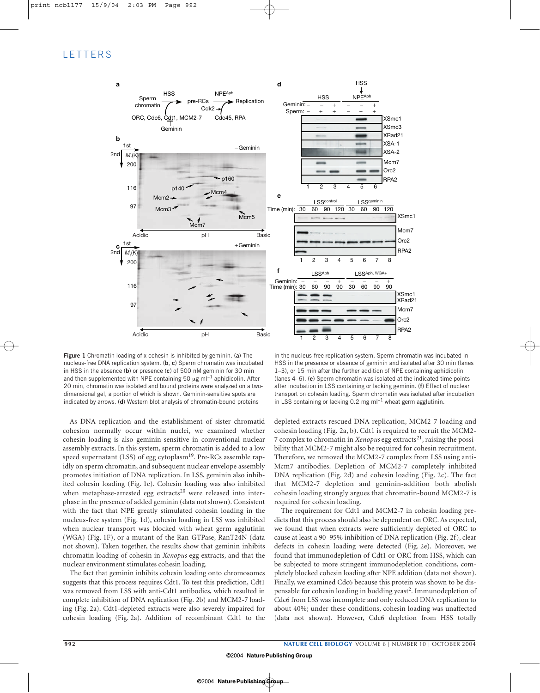### **LETTERS**



**Figure 1** Chromatin loading of x-cohesin is inhibited by geminin. (**a**) The nucleus-free DNA replication system. (**b**, **c**) Sperm chromatin was incubated in HSS in the absence (**b**) or presence (**c**) of 500 nM geminin for 30 min and then supplemented with NPE containing 50 µg ml<sup>-1</sup> aphidicolin. After 20 min, chromatin was isolated and bound proteins were analyzed on a twodimensional gel, a portion of which is shown. Geminin-sensitive spots are indicated by arrows. (**d**) Western blot analysis of chromatin-bound proteins

As DNA replication and the establishment of sister chromatid cohesion normally occur within nuclei, we examined whether cohesin loading is also geminin-sensitive in conventional nuclear assembly extracts. In this system, sperm chromatin is added to a low speed supernatant (LSS) of egg cytoplasm<sup>19</sup>. Pre-RCs assemble rapidly on sperm chromatin, and subsequent nuclear envelope assembly promotes initiation of DNA replication. In LSS, geminin also inhibited cohesin loading (Fig. 1e). Cohesin loading was also inhibited when metaphase-arrested egg extracts<sup>20</sup> were released into interphase in the presence of added geminin (data not shown). Consistent with the fact that NPE greatly stimulated cohesin loading in the nucleus-free system (Fig. 1d), cohesin loading in LSS was inhibited when nuclear transport was blocked with wheat germ agglutinin (WGA) (Fig. 1F), or a mutant of the Ran-GTPase, RanT24N (data not shown). Taken together, the results show that geminin inhibits chromatin loading of cohesin in *Xenopus* egg extracts, and that the nuclear environment stimulates cohesin loading.

The fact that geminin inhibits cohesin loading onto chromosomes suggests that this process requires Cdt1. To test this prediction, Cdt1 was removed from LSS with anti-Cdt1 antibodies, which resulted in complete inhibition of DNA replication (Fig. 2b) and MCM2-7 loading (Fig. 2a). Cdt1-depleted extracts were also severely impaired for cohesin loading (Fig. 2a). Addition of recombinant Cdt1 to the

in the nucleus-free replication system. Sperm chromatin was incubated in HSS in the presence or absence of geminin and isolated after 30 min (lanes 1–3), or 15 min after the further addition of NPE containing aphidicolin (lanes 4–6). (**e**) Sperm chromatin was isolated at the indicated time points after incubation in LSS containing or lacking geminin. (**f**) Effect of nuclear transport on cohesin loading. Sperm chromatin was isolated after incubation in LSS containing or lacking 0.2 mg ml−<sup>1</sup> wheat germ agglutinin.

depleted extracts rescued DNA replication, MCM2-7 loading and cohesin loading (Fig. 2a, b). Cdt1 is required to recruit the MCM2- 7 complex to chromatin in *Xenopus* egg extracts<sup>21</sup>, raising the possibility that MCM2-7 might also be required for cohesin recruitment. Therefore, we removed the MCM2-7 complex from LSS using anti-Mcm7 antibodies. Depletion of MCM2-7 completely inhibited DNA replication (Fig. 2d) and cohesin loading (Fig. 2c). The fact that MCM2-7 depletion and geminin-addition both abolish cohesin loading strongly argues that chromatin-bound MCM2-7 is required for cohesin loading.

The requirement for Cdt1 and MCM2-7 in cohesin loading predicts that this process should also be dependent on ORC. As expected, we found that when extracts were sufficiently depleted of ORC to cause at least a 90–95% inhibition of DNA replication (Fig. 2f), clear defects in cohesin loading were detected (Fig. 2e). Moreover, we found that immunodepletion of Cdt1 or ORC from HSS, which can be subjected to more stringent immunodepletion conditions, completely blocked cohesin loading after NPE addition (data not shown). Finally, we examined Cdc6 because this protein was shown to be dispensable for cohesin loading in budding yeast<sup>2</sup>. Immunodepletion of Cdc6 from LSS was incomplete and only reduced DNA replication to about 40%; under these conditions, cohesin loading was unaffected (data not shown). However, Cdc6 depletion from HSS totally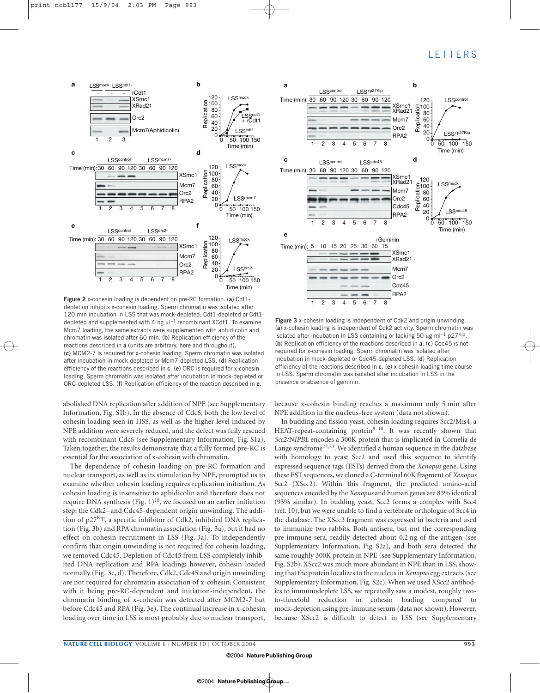

**Figure 2** x-cohesin loading is dependent on pre-RC formation. (**a**) Cdt1 depletion inhibits x-cohesin loading. Sperm chromatin was isolated after 120 min incubation in LSS that was mock-depleted, Cdt1-depleted or Cdt1 depleted and supplemented with 4 ng  $\mu$ I<sup>-1</sup> recombinant XCdt1. To examine Mcm7 loading, the same extracts were supplemented with aphidicolin and chromatin was isolated after 60 min. (**b**) Replication efficiency of the reactions described in **a** (units are arbitrary, here and throughout). (**c**) MCM2-7 is required for x-cohesin loading. Sperm chromatin was isolated after incubation in mock-depleted or Mcm7-depleted LSS. (**d**) Replication efficiency of the reactions described in **c**. (**e**) ORC is required for x-cohesin loading. Sperm chromatin was isolated after incubation in mock-depleted or ORC-depleted LSS. (**f**) Replication efficiency of the reaction described in **e**.

abolished DNA replication after addition of NPE (see Supplementary Information, Fig. S1b). In the absence of Cdc6, both the low level of cohesin loading seen in HSS, as well as the higher level induced by NPE addition were severely reduced, and the defect was fully rescued with recombinant Cdc6 (see Supplementary Information, Fig. S1a). Taken together, the results demonstrate that a fully formed pre-RC is essential for the association of x-cohesin with chromatin.

The dependence of cohesin loading on pre-RC formation and nuclear transport, as well as its stimulation by NPE, prompted us to examine whether cohesin loading requires replication initiation. As cohesin loading is insensitive to aphidicolin and therefore does not require DNA synthesis (Fig.  $1$ )<sup>18</sup>, we focused on an earlier initiation step: the Cdk2- and Cdc45-dependent origin unwinding. The addition of p27<sup>Kip</sup>, a specific inhibitor of Cdk2, inhibited DNA replication (Fig. 3b) and RPA chromatin association (Fig. 3a), but it had no effect on cohesin recruitment in LSS (Fig. 3a). To independently confirm that origin unwinding is not required for cohesin loading, we removed Cdc45. Depletion of Cdc45 from LSS completely inhibited DNA replication and RPA loading; however, cohesin loaded normally (Fig. 3c, d). Therefore, Cdk2, Cdc45 and origin unwinding are not required for chromatin association of x-cohesin. Consistent with it being pre-RC-dependent and initiation-independent, the chromatin binding of x-cohesin was detected after MCM2-7 but before Cdc45 and RPA (Fig. 3e). The continual increase in x-cohesin loading over time in LSS is most probably due to nuclear transport,



**Figure 3** x-cohesin loading is independent of Cdk2 and origin unwinding. (**a**) x-cohesin loading is independent of Cdk2 activity. Sperm chromatin was isolated after incubation in LSS containing or lacking 50 µg ml−<sup>1</sup> p27Kip. (**b**) Replication efficiency of the reactions described in **a**. (**c**) Cdc45 is not required for x-cohesin loading. Sperm chromatin was isolated after incubation in mock-depleted or Cdc45-depleted LSS. (**d**) Replication efficiency of the reactions described in **c**. (**e**) x-cohesin loading time course in LSS. Sperm chromatin was isolated after incubation in LSS in the presence or absence of geminin.

because x-cohesin binding reaches a maximum only 5 min after NPE addition in the nucleus-free system (data not shown).

In budding and fission yeast, cohesin loading requires Scc2/Mis4, a HEAT-repeat-containing protein $8-10$ . It was recently shown that *Scc2/NIPBL* encodes a 300K protein that is implicated in Cornelia de Lange syndrome<sup>22,23</sup>. We identified a human sequence in the database with homology to yeast Scc2 and used this sequence to identify expressed sequence tags (ESTs) derived from the *Xenopus* gene. Using these EST sequences, we cloned a C-terminal 60K fragment of *Xenopus* Scc2 (XScc2). Within this fragment, the predicted amino-acid sequences encoded by the *Xenopus* and human genes are 83% identical (93% similar). In budding yeast, Scc2 forms a complex with Scc4 (ref. 10), but we were unable to find a vertebrate orthologue of Scc4 in the database. The XScc2 fragment was expressed in bacteria and used to immunize two rabbits. Both antisera, but not the corresponding pre-immune sera, readily detected about 0.2 ng of the antigen (see Supplementary Information, Fig. S2a), and both sera detected the same roughly 300K protein in NPE (see Supplementary Information, Fig. S2b). XScc2 was much more abundant in NPE than in LSS, showing that the protein localizes to the nucleus in *Xenopus* egg extracts (see Supplementary Information, Fig. S2c). When we used XScc2 antibodies to immunodeplete LSS, we repeatedly saw a modest, roughly twoto-threefold reduction in cohesin loading compared to mock-depletion using pre-immune serum (data not shown). However, because XScc2 is difficult to detect in LSS (see Supplementary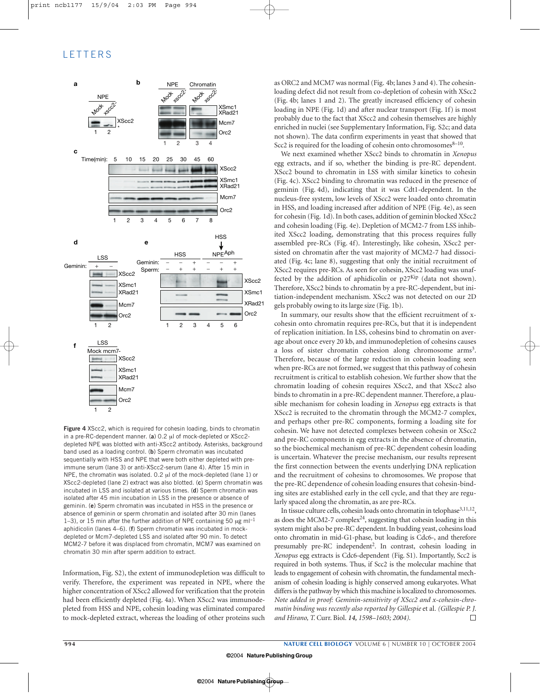## **LETTERS**



**Figure 4** XScc2, which is required for cohesin loading, binds to chromatin in a pre-RC-dependent manner. (**a**) 0.2 µl of mock-depleted or XScc2 depleted NPE was blotted with anti-XScc2 antibody. Asterisks, background band used as a loading control. (**b**) Sperm chromatin was incubated sequentially with HSS and NPE that were both either depleted with preimmune serum (lane 3) or anti-XScc2-serum (lane 4). After 15 min in NPE, the chromatin was isolated. 0.2 µl of the mock-depleted (lane 1) or XScc2-depleted (lane 2) extract was also blotted. (**c**) Sperm chromatin was incubated in LSS and isolated at various times. (**d**) Sperm chromatin was isolated after 45 min incubation in LSS in the presence or absence of geminin. (**e**) Sperm chromatin was incubated in HSS in the presence or absence of geminin or sperm chromatin and isolated after 30 min (lanes 1–3), or 15 min after the further addition of NPE containing 50 μg ml<sup>-1</sup> aphidicolin (lanes 4–6). (**f**) Sperm chromatin was incubated in mockdepleted or Mcm7-depleted LSS and isolated after 90 min. To detect MCM2-7 before it was displaced from chromatin, MCM7 was examined on chromatin 30 min after sperm addition to extract.

Information, Fig. S2), the extent of immunodepletion was difficult to verify. Therefore, the experiment was repeated in NPE, where the higher concentration of XScc2 allowed for verification that the protein had been efficiently depleted (Fig. 4a). When XScc2 was immunodepleted from HSS and NPE, cohesin loading was eliminated compared to mock-depleted extract, whereas the loading of other proteins such as ORC2 and MCM7 was normal (Fig. 4b; lanes 3 and 4). The cohesinloading defect did not result from co-depletion of cohesin with XScc2 (Fig. 4b; lanes 1 and 2). The greatly increased efficiency of cohesin loading in NPE (Fig. 1d) and after nuclear transport (Fig. 1f) is most probably due to the fact that XScc2 and cohesin themselves are highly enriched in nuclei (see Supplementary Information, Fig. S2c; and data not shown). The data confirm experiments in yeast that showed that Scc2 is required for the loading of cohesin onto chromosomes $8-10$ .

We next examined whether XScc2 binds to chromatin in *Xenopus* egg extracts, and if so, whether the binding is pre-RC dependent. XScc2 bound to chromatin in LSS with similar kinetics to cohesin (Fig. 4c). XScc2 binding to chromatin was reduced in the presence of geminin (Fig. 4d), indicating that it was Cdt1-dependent. In the nucleus-free system, low levels of XScc2 were loaded onto chromatin in HSS, and loading increased after addition of NPE (Fig. 4e), as seen for cohesin (Fig. 1d). In both cases, addition of geminin blocked XScc2 and cohesin loading (Fig. 4e). Depletion of MCM2-7 from LSS inhibited XScc2 loading, demonstrating that this process requires fully assembled pre-RCs (Fig. 4f). Interestingly, like cohesin, XScc2 persisted on chromatin after the vast majority of MCM2-7 had dissociated (Fig. 4c; lane 8), suggesting that only the initial recruitment of XScc2 requires pre-RCs. As seen for cohesin, XScc2 loading was unaffected by the addition of aphidicolin or  $p27$ <sup>Kip</sup> (data not shown). Therefore, XScc2 binds to chromatin by a pre-RC-dependent, but initiation-independent mechanism. XScc2 was not detected on our 2D gels probably owing to its large size (Fig. 1b).

In summary, our results show that the efficient recruitment of xcohesin onto chromatin requires pre-RCs, but that it is independent of replication initiation. In LSS, cohesins bind to chromatin on average about once every 20 kb, and immunodepletion of cohesins causes a loss of sister chromatin cohesion along chromosome arms<sup>3</sup>. Therefore, because of the large reduction in cohesin loading seen when pre-RCs are not formed, we suggest that this pathway of cohesin recruitment is critical to establish cohesion. We further show that the chromatin loading of cohesin requires XScc2, and that XScc2 also binds to chromatin in a pre-RC dependent manner. Therefore, a plausible mechanism for cohesin loading in *Xenopus* egg extracts is that XScc2 is recruited to the chromatin through the MCM2-7 complex, and perhaps other pre-RC components, forming a loading site for cohesin. We have not detected complexes between cohesin or XScc2 and pre-RC components in egg extracts in the absence of chromatin, so the biochemical mechanism of pre-RC dependent cohesin loading is uncertain. Whatever the precise mechanism, our results represent the first connection between the events underlying DNA replication and the recruitment of cohesins to chromosomes. We propose that the pre-RC dependence of cohesin loading ensures that cohesin-binding sites are established early in the cell cycle, and that they are regularly spaced along the chromatin, as are pre-RCs.

In tissue culture cells, cohesin loads onto chromatin in telophase<sup>3,11,12</sup>, as does the MCM2-7 complex $^{24}$ , suggesting that cohesin loading in this system might also be pre-RC dependent. In budding yeast, cohesins load onto chromatin in mid-G1-phase, but loading is Cdc6-, and therefore presumably pre-RC independent<sup>2</sup>. In contrast, cohesin loading in *Xenopus* egg extracts is Cdc6-dependent (Fig. S1). Importantly, Scc2 is required in both systems. Thus, if Scc2 is the molecular machine that leads to engagement of cohesin with chromatin, the fundamental mechanism of cohesin loading is highly conserved among eukaryotes. What differs is the pathway by which this machine is localized to chromosomes. *Note added in proof: Geminin-sensitivity of XScc2 and x-cohesin-chromatin binding was recently also reported by Gillespie* et al*. (Gillespie P. J. and Hirano, T.* Curr. Biol. *14, 1598–1603; 2004).*  $\Box$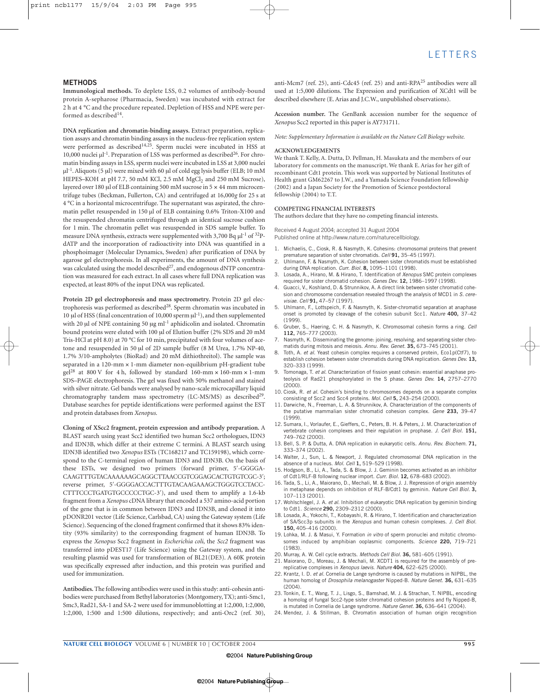### **METHODS**

**Immunological methods.** To deplete LSS, 0.2 volumes of antibody-bound protein A-sepharose (Pharmacia, Sweden) was incubated with extract for 2 h at 4 °C and the procedure repeated. Depletion of HSS and NPE were performed as described<sup>14</sup>.

**DNA replication and chromatin-binding assays.** Extract preparation, replication assays and chromatin binding assays in the nucleus-free replication system were performed as described<sup>14,25</sup>. Sperm nuclei were incubated in HSS at 10,000 nuclei  $\mu$ <sup>-1</sup>. Preparation of LSS was performed as described<sup>26</sup>. For chromatin binding assays in LSS, sperm nuclei were incubated in LSS at 3,000 nuclei  $\mu$ l<sup>-1</sup>. Aliquots (5  $\mu$ l) were mixed with 60  $\mu$ l of cold egg lysis buffer (ELB; 10 mM HEPES–KOH at pH 7.7, 50 mM KCl, 2.5 mM MgCl<sub>2</sub> and 250 mM Sucrose), layered over 180 µl of ELB containing 500 mM sucrose in 5  $\times$  44 mm microcentrifuge tubes (Beckman, Fullerton, CA) and centrifuged at 16,000*g* for 25 s at 4 °C in a horizontal microcentrifuge. The supernatant was aspirated, the chromatin pellet resuspended in 150 µl of ELB containing 0.6% Triton-X100 and the resuspended chromatin centrifuged through an identical sucrose cushion for 1 min. The chromatin pellet was resuspended in SDS sample buffer. To measure DNA synthesis, extracts were supplemented with 3,700 Bq  $\mu$ l<sup>-1</sup> of <sup>32</sup>PdATP and the incorporation of radioactivity into DNA was quantified in a phosphoimager (Molecular Dynamics, Sweden) after purification of DNA by agarose gel electrophoresis. In all experiments, the amount of DNA synthesis was calculated using the model described<sup>27</sup>, and endogenous dNTP concentration was measured for each extract. In all cases where full DNA replication was expected, at least 80% of the input DNA was replicated.

**Protein 2D gel electrophoresis and mass spectrometry.** Protein 2D gel electrophoresis was performed as described<sup>28</sup>. Sperm chromatin was incubated in 10 µl of HSS (final concentration of 10,000 sperm  $\mu$ <sup>1</sup>), and then supplemented with 20 µl of NPE containing 50 µg ml<sup>-1</sup> aphidicolin and isolated. Chromatin bound proteins were eluted with 100 µl of Elution buffer (2% SDS and 20 mM Tris-HCl at pH 8.0) at 70 °C for 10 min, precipitated with four volumes of acetone and resuspended in 50 µl of 2D sample buffer (8 M Urea, 1.7% NP-40, 1.7% 3/10-ampholytes (BioRad) and 20 mM dithiothreitol). The sample was separated in a 120-mm × 1-mm diameter non-equilibrium pH-gradient tube gel<sup>28</sup> at 800 V for 4 h, followed by standard 160-mm  $\times$  160-mm  $\times$  1-mm SDS–PAGE electrophoresis. The gel was fixed with 50% methanol and stained with silver nitrate. Gel bands were analysed by nano-scale microcapillary liquid chromatography tandem mass spectrometry (LC-MS/MS) as described<sup>29</sup>. Database searches for peptide identifications were performed against the EST and protein databases from *Xenopus*.

**Cloning of XScc2 fragment, protein expression and antibody preparation.** A BLAST search using yeast Scc2 identified two human Scc2 orthologues, IDN3 and IDN3B, which differ at their extreme C termini. A BLAST search using IDN3B identified two *Xenopus* ESTs (TC168217 and TC159198), which correspond to the C-terminal region of human IDN3 and IDN3B. On the basis of these ESTs, we designed two primers (forward primer, 5′-GGGGA-CAAGTTTGTACAAAAAAGCAGGCTTAACCGTCGGAGCACTGTGTCGC-3′; reverse primer, 5′-GGGGACCACTTTGTACAAGAAAGCTGGGTCCTACC-CTTTCCCTGATGTGCCCCCTGC-3′), and used them to amplify a 1.6-kb fragment from a *Xenopus* cDNA library that encoded a 537 amino-acid portion of the gene that is in common between IDN3 and IDN3B, and cloned it into pDONR201 vector (Life Science, Carlsbad, CA) using the Gateway system (Life Science). Sequencing of the cloned fragment confirmed that it shows 83% identity (93% similarity) to the corresponding fragment of human IDN3B. To express the *Xenopus* Scc2 fragment in *Escherichia coli*, the *Scc2* fragment was transferred into pDEST17 (Life Science) using the Gateway system, and the resulting plasmid was used for transformation of BL21(DE3). A 60K protein was specifically expressed after induction, and this protein was purified and used for immunization.

**Antibodies.**The following antibodies were used in this study: anti-cohesin antibodies were purchased from Bethyl laboratories (Montgomery, TX); anti-Smc1, Smc3, Rad21, SA-1 and SA-2 were used for immunoblotting at 1:2,000, 1:2,000, 1:2,000, 1:500 and 1:500 dilutions, respectively; and anti-Orc2 (ref. 30), anti-Mcm7 (ref. 25), anti-Cdc45 (ref. 25) and anti-RPA25 antibodies were all used at 1:5,000 dilutions. The Expression and purification of XCdt1 will be described elsewhere (E. Arias and J.C.W., unpublished observations).

**Accession number.** The GenBank accession number for the sequence of *Xenopus* Scc2 reported in this paper is AY731711.

*Note: Supplementary Information is available on the Nature Cell Biology website.*

#### **ACKNOWLEDGEMENTS**

We thank T. Kelly, A. Dutta, D. Pellman, H. Masukata and the members of our laboratory for comments on the manuscript. We thank E. Arias for her gift of recombinant Cdt1 protein. This work was supported by National Institutes of Health grant GM62267 to J.W., and a Yamada Science Foundation fellowship (2002) and a Japan Society for the Promotion of Science postdoctoral fellowship (2004) to T.T.

#### **COMPETING FINANCIAL INTERESTS**

The authors declare that they have no competing financial interests.

Received 4 August 2004; accepted 31 August 2004 Published online at http://www.nature.com/naturecellbiology.

- Michaelis, C., Ciosk, R. & Nasmyth, K. Cohesins: chromosomal proteins that prevent premature separation of sister chromatids. *Cell* **91,** 35–45 (1997).
- 2. Uhlmann, F. & Nasmyth, K. Cohesion between sister chromatids must be established during DNA replication. *Curr. Biol.* **8,** 1095–1101 (1998).
- 3. Losada, A., Hirano, M. & Hirano, T. Identification of *Xenopus* SMC protein complexes required for sister chromatid cohesion. *Genes Dev.* **12,** 1986–1997 (1998).
- 4. Guacci, V., Koshland, D. & Strunnikov, A. A direct link between sister chromatid cohesion and chromosome condensation revealed through the analysis of MCD1 in *S. cerevisiae*. *Cell* **91,** 47–57 (1997).
- 5. Uhlmann, F., Lottspeich, F. & Nasmyth, K. Sister-chromatid separation at anaphase onset is promoted by cleavage of the cohesin subunit Scc1. *Nature* **400,** 37–42 (1999).
- 6. Gruber, S., Haering, C. H. & Nasmyth, K. Chromosomal cohesin forms a ring. *Cell* **112,** 765–777 (2003).
- Nasmyth, K. Disseminating the genome: joining, resolving, and separating sister chromatids during mitosis and meiosis. *Annu. Rev. Genet.* **35,** 673–745 (2001).
- 8. Toth, A. *et al.* Yeast cohesin complex requires a conserved protein, Eco1p(Ctf7), to establish cohesion between sister chromatids during DNA replication. *Genes Dev.* **13,** 320–333 (1999).
- 9. Tomonaga, T. *et al.* Characterization of fission yeast cohesin: essential anaphase proteolysis of Rad21 phosphorylated in the S phase. *Genes Dev.* **14,** 2757–2770 (2000).
- 10. Ciosk, R. *et al.* Cohesin's binding to chromosomes depends on a separate complex consisting of Scc2 and Scc4 proteins. *Mol. Cell* **5,** 243–254 (2000).
- 11. Darwiche, N., Freeman, L. A. & Strunnikov, A. Characterization of the components of the putative mammalian sister chromatid cohesion complex. *Gene* **233,** 39–47 (1999).
- 12. Sumara, I., Vorlaufer, E., Gieffers, C., Peters, B. H. & Peters, J. M. Characterization of vertebrate cohesin complexes and their regulation in prophase. *J. Cell Biol.* **151,** 749–762 (2000).
- 13. Bell, S. P. & Dutta, A. DNA replication in eukaryotic cells. *Annu. Rev. Biochem.* **71,** 333–374 (2002).
- 14. Walter, J., Sun, L. & Newport, J. Regulated chromosomal DNA replication in the absence of a nucleus. *Mol. Cell* **1,** 519–529 (1998).
- 15. Hodgson, B., Li, A., Tada, S. & Blow, J. J. Geminin becomes activated as an inhibitor of Cdt1/RLF-B following nuclear import. *Curr. Biol.* **12,** 678–683 (2002).
- 16. Tada, S., Li, A., Maiorano, D., Mechali, M. & Blow, J. J. Repression of origin assembly in metaphase depends on inhibition of RLF-B/Cdt1 by geminin. *Nature Cell Biol.* **3,** 107–113 (2001).
- 17. Wohlschlegel, J. A. *et al.* Inhibition of eukaryotic DNA replication by geminin binding to Cdt1. *Science* **290,** 2309–2312 (2000).
- 18. Losada, A., Yokochi, T., Kobayashi, R. & Hirano, T. Identification and characterization of SA/Scc3p subunits in the *Xenopus* and human cohesin complexes. *J. Cell Biol.* **150,** 405–416 (2000).
- 19. Lohka, M. J. & Masui, Y. Formation *in vitro* of sperm pronuclei and mitotic chromosomes induced by amphibian ooplasmic components. *Science* **220,** 719–721 (1983).
- 20. Murray, A. W. Cell cycle extracts. *Methods Cell Biol.* **36,** 581–605 (1991).
- 21. Maiorano, D., Moreau, J. & Mechali, M. XCDT1 is required for the assembly of prereplicative complexes in *Xenopus laevis*. *Nature* **404,** 622–625 (2000).
- 22. Krantz, I. D. *et al.* Cornelia de Lange syndrome is caused by mutations in NIPBL, the human homolog of *Drosophila melanogaster* Nipped-B. *Nature Genet.* **36,** 631–635 (2004).
- 23. Tonkin, E. T., Wang, T. J., Lisgo, S., Bamshad, M. J. & Strachan, T. NIPBL, encoding a homolog of fungal Scc2-type sister chromatid cohesion proteins and fly Nipped-B, is mutated in Cornelia de Lange syndrome. *Nature Genet.* **36,** 636–641 (2004).
- 24. Mendez, J. & Stillman, B. Chromatin association of human origin recognition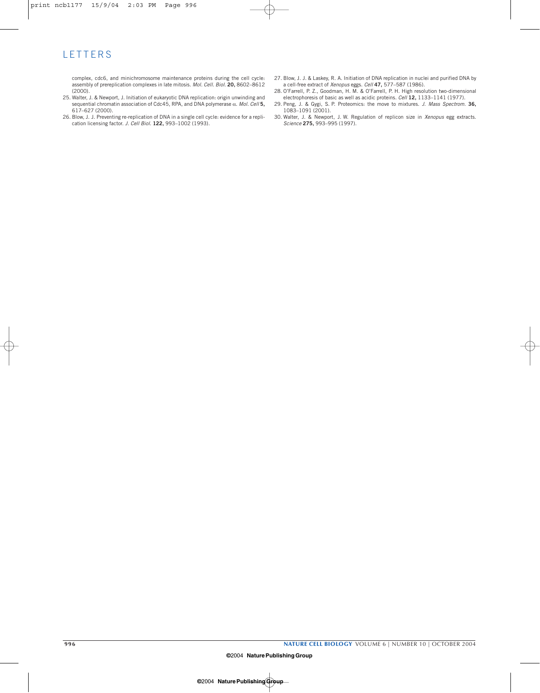# **LETTERS**

complex, cdc6, and minichromosome maintenance proteins during the cell cycle: assembly of prereplication complexes in late mitosis. *Mol. Cell. Biol.* **20,** 8602–8612 (2000).

- 25. Walter, J. & Newport, J. Initiation of eukaryotic DNA replication: origin unwinding and sequential chromatin association of Cdc45, RPA, and DNA polymerase α. *Mol. Cell* **5,** 617–627 (2000).
- 26. Blow, J. J. Preventing re-replication of DNA in a single cell cycle: evidence for a replication licensing factor. *J. Cell Biol.* **122,** 993–1002 (1993).
- 27. Blow, J. J. & Laskey, R. A. Initiation of DNA replication in nuclei and purified DNA by a cell-free extract of *Xenopus* eggs. *Cell* **47,** 577–587 (1986).
- 28. O'Farrell, P. Z., Goodman, H. M. & O'Farrell, P. H. High resolution two-dimensional electrophoresis of basic as well as acidic proteins. *Cell* **12,** 1133–1141 (1977).
- 29. Peng, J. & Gygi, S. P. Proteomics: the move to mixtures. *J. Mass Spectrom.* **36,** 1083–1091 (2001).
- 30. Walter, J. & Newport, J. W. Regulation of replicon size in *Xenopus* egg extracts. *Science* **275,** 993–995 (1997).